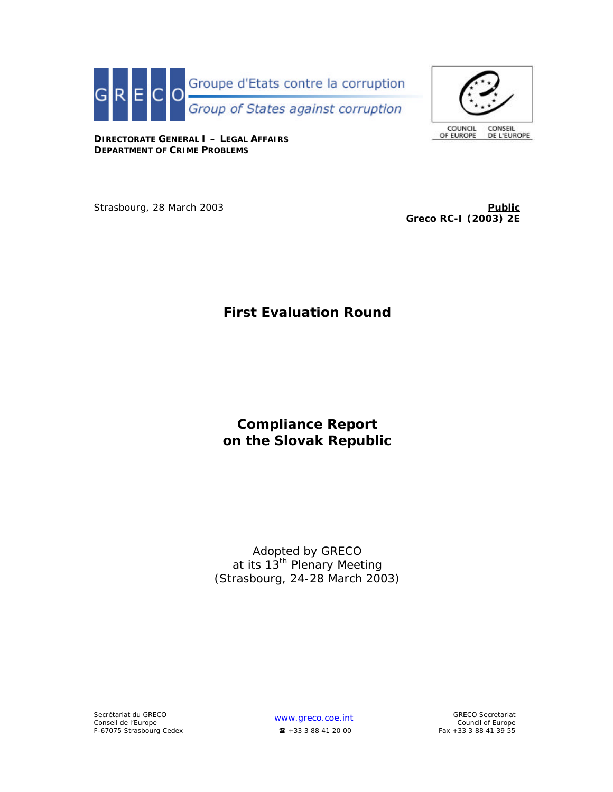



**DIRECTORATE GENERAL I – LEGAL AFFAIRS DEPARTMENT OF CRIME PROBLEMS**

Strasbourg, 28 March 2003 **Public Public Public Public Public Public Public Public Public Public** 

**Greco RC-I (2003) 2E**

# **First Evaluation Round**

# **Compliance Report on the Slovak Republic**

Adopted by GRECO at its 13<sup>th</sup> Plenary Meeting (Strasbourg, 24-28 March 2003)

*Council of Europe*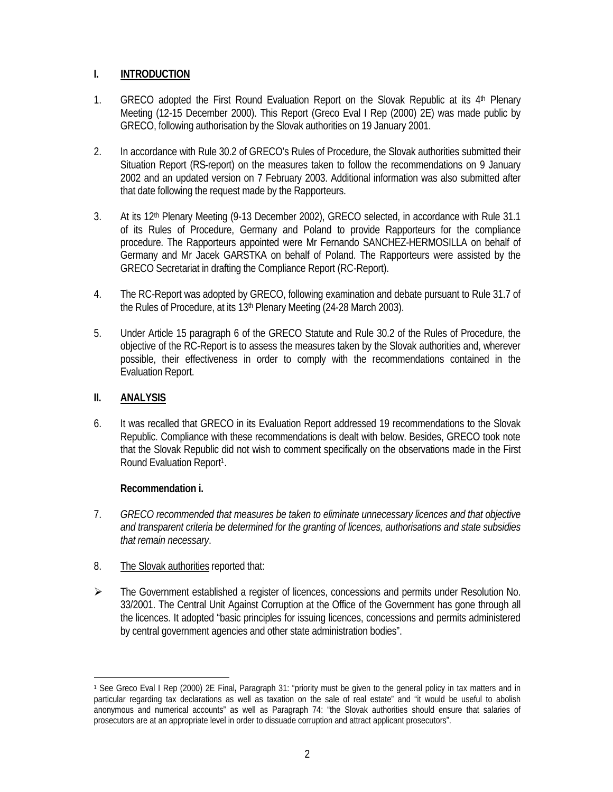# **I. INTRODUCTION**

- 1. GRECO adopted the First Round Evaluation Report on the Slovak Republic at its 4<sup>th</sup> Plenary Meeting (12-15 December 2000). This Report (Greco Eval I Rep (2000) 2E) was made public by GRECO, following authorisation by the Slovak authorities on 19 January 2001.
- 2. In accordance with Rule 30.2 of GRECO's Rules of Procedure, the Slovak authorities submitted their Situation Report (RS-report) on the measures taken to follow the recommendations on 9 January 2002 and an updated version on 7 February 2003. Additional information was also submitted after that date following the request made by the Rapporteurs.
- 3. At its 12<sup>th</sup> Plenary Meeting (9-13 December 2002), GRECO selected, in accordance with Rule 31.1 of its Rules of Procedure, Germany and Poland to provide Rapporteurs for the compliance procedure. The Rapporteurs appointed were Mr Fernando SANCHEZ-HERMOSILLA on behalf of Germany and Mr Jacek GARSTKA on behalf of Poland. The Rapporteurs were assisted by the GRECO Secretariat in drafting the Compliance Report (RC-Report).
- 4. The RC-Report was adopted by GRECO, following examination and debate pursuant to Rule 31.7 of the Rules of Procedure, at its 13<sup>th</sup> Plenary Meeting (24-28 March 2003).
- 5. Under Article 15 paragraph 6 of the GRECO Statute and Rule 30.2 of the Rules of Procedure, the objective of the RC-Report is to assess the measures taken by the Slovak authorities and, wherever possible, their effectiveness in order to comply with the recommendations contained in the Evaluation Report.

# **II. ANALYSIS**

 $\overline{a}$ 

6. It was recalled that GRECO in its Evaluation Report addressed 19 recommendations to the Slovak Republic. Compliance with these recommendations is dealt with below. Besides, GRECO took note that the Slovak Republic did not wish to comment specifically on the observations made in the First Round Evaluation Report<sup>1</sup>.

# **Recommendation i.**

- 7. *GRECO recommended that measures be taken to eliminate unnecessary licences and that objective and transparent criteria be determined for the granting of licences, authorisations and state subsidies that remain necessary*.
- 8. The Slovak authorities reported that:
- $\triangleright$  The Government established a register of licences, concessions and permits under Resolution No. 33/2001. The Central Unit Against Corruption at the Office of the Government has gone through all the licences. It adopted "basic principles for issuing licences, concessions and permits administered by central government agencies and other state administration bodies".

<sup>1</sup> See Greco Eval I Rep (2000) 2E Final**,** Paragraph 31: "priority must be given to the general policy in tax matters and in particular regarding tax declarations as well as taxation on the sale of real estate" and "it would be useful to abolish anonymous and numerical accounts" as well as Paragraph 74: "the Slovak authorities should ensure that salaries of prosecutors are at an appropriate level in order to dissuade corruption and attract applicant prosecutors".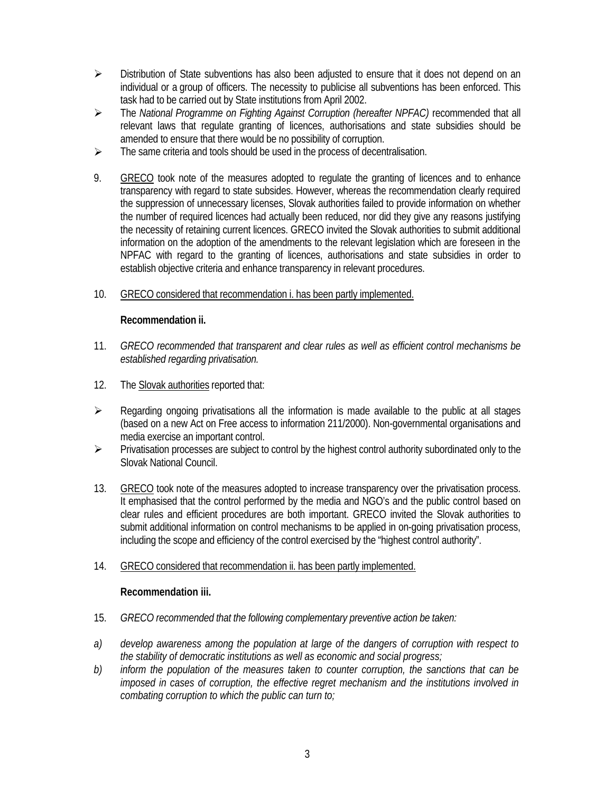- $\triangleright$  Distribution of State subventions has also been adjusted to ensure that it does not depend on an individual or a group of officers. The necessity to publicise all subventions has been enforced. This task had to be carried out by State institutions from April 2002.
- ÿ The *National Programme on Fighting Against Corruption (hereafter NPFAC)* recommended that all relevant laws that regulate granting of licences, authorisations and state subsidies should be amended to ensure that there would be no possibility of corruption.
- $\triangleright$  The same criteria and tools should be used in the process of decentralisation.
- 9. GRECO took note of the measures adopted to regulate the granting of licences and to enhance transparency with regard to state subsides. However, whereas the recommendation clearly required the suppression of unnecessary licenses, Slovak authorities failed to provide information on whether the number of required licences had actually been reduced, nor did they give any reasons justifying the necessity of retaining current licences. GRECO invited the Slovak authorities to submit additional information on the adoption of the amendments to the relevant legislation which are foreseen in the NPFAC with regard to the granting of licences, authorisations and state subsidies in order to establish objective criteria and enhance transparency in relevant procedures.
- 10. GRECO considered that recommendation i. has been partly implemented.

# **Recommendation ii.**

- 11. *GRECO recommended that transparent and clear rules as well as efficient control mechanisms be established regarding privatisation.*
- 12. The Slovak authorities reported that:
- $\triangleright$  Regarding ongoing privatisations all the information is made available to the public at all stages (based on a new Act on Free access to information 211/2000). Non-governmental organisations and media exercise an important control.
- $\triangleright$  Privatisation processes are subject to control by the highest control authority subordinated only to the Slovak National Council.
- 13. GRECO took note of the measures adopted to increase transparency over the privatisation process. It emphasised that the control performed by the media and NGO's and the public control based on clear rules and efficient procedures are both important. GRECO invited the Slovak authorities to submit additional information on control mechanisms to be applied in on-going privatisation process, including the scope and efficiency of the control exercised by the "highest control authority".
- 14. GRECO considered that recommendation ii. has been partly implemented.

# **Recommendation iii.**

- 15. *GRECO recommended that the following complementary preventive action be taken:*
- *a) develop awareness among the population at large of the dangers of corruption with respect to the stability of democratic institutions as well as economic and social progress;*
- *b) inform the population of the measures taken to counter corruption, the sanctions that can be imposed in cases of corruption, the effective regret mechanism and the institutions involved in combating corruption to which the public can turn to;*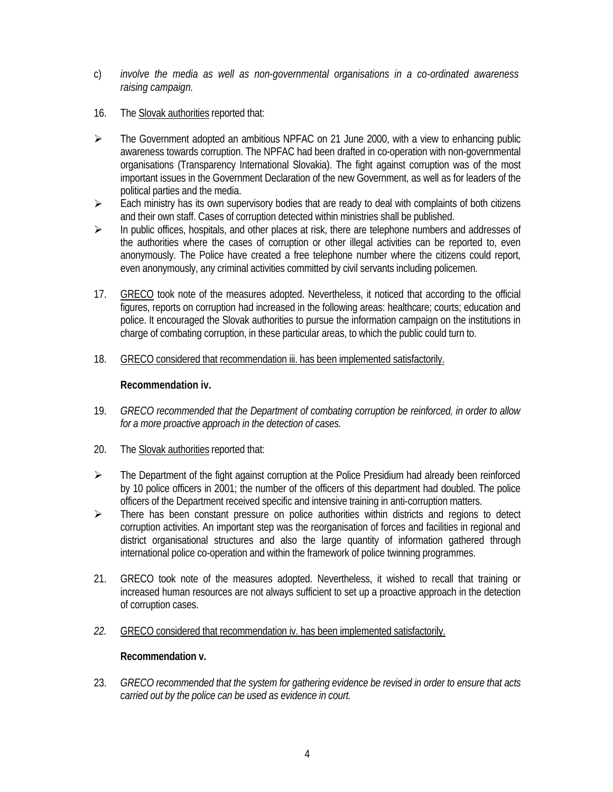- c) *involve the media as well as non-governmental organisations in a co-ordinated awareness raising campaign.*
- 16. The Slovak authorities reported that:
- $\triangleright$  The Government adopted an ambitious NPFAC on 21 June 2000, with a view to enhancing public awareness towards corruption. The NPFAC had been drafted in co-operation with non-governmental organisations (Transparency International Slovakia). The fight against corruption was of the most important issues in the Government Declaration of the new Government, as well as for leaders of the political parties and the media.
- $\triangleright$  Each ministry has its own supervisory bodies that are ready to deal with complaints of both citizens and their own staff. Cases of corruption detected within ministries shall be published.
- $\triangleright$  In public offices, hospitals, and other places at risk, there are telephone numbers and addresses of the authorities where the cases of corruption or other illegal activities can be reported to, even anonymously. The Police have created a free telephone number where the citizens could report, even anonymously, any criminal activities committed by civil servants including policemen.
- 17. GRECO took note of the measures adopted. Nevertheless, it noticed that according to the official figures, reports on corruption had increased in the following areas: healthcare; courts; education and police. It encouraged the Slovak authorities to pursue the information campaign on the institutions in charge of combating corruption, in these particular areas, to which the public could turn to.
- 18. GRECO considered that recommendation iii. has been implemented satisfactorily.

#### **Recommendation iv.**

- 19. *GRECO recommended that the Department of combating corruption be reinforced, in order to allow for a more proactive approach in the detection of cases.*
- 20. The Slovak authorities reported that:
- $\triangleright$  The Department of the fight against corruption at the Police Presidium had already been reinforced by 10 police officers in 2001; the number of the officers of this department had doubled. The police officers of the Department received specific and intensive training in anti-corruption matters.
- $\triangleright$  There has been constant pressure on police authorities within districts and regions to detect corruption activities. An important step was the reorganisation of forces and facilities in regional and district organisational structures and also the large quantity of information gathered through international police co-operation and within the framework of police twinning programmes.
- 21. GRECO took note of the measures adopted. Nevertheless, it wished to recall that training or increased human resources are not always sufficient to set up a proactive approach in the detection of corruption cases.
- *22.* GRECO considered that recommendation iv. has been implemented satisfactorily.

#### **Recommendation v.**

23. *GRECO recommended that the system for gathering evidence be revised in order to ensure that acts carried out by the police can be used as evidence in court.*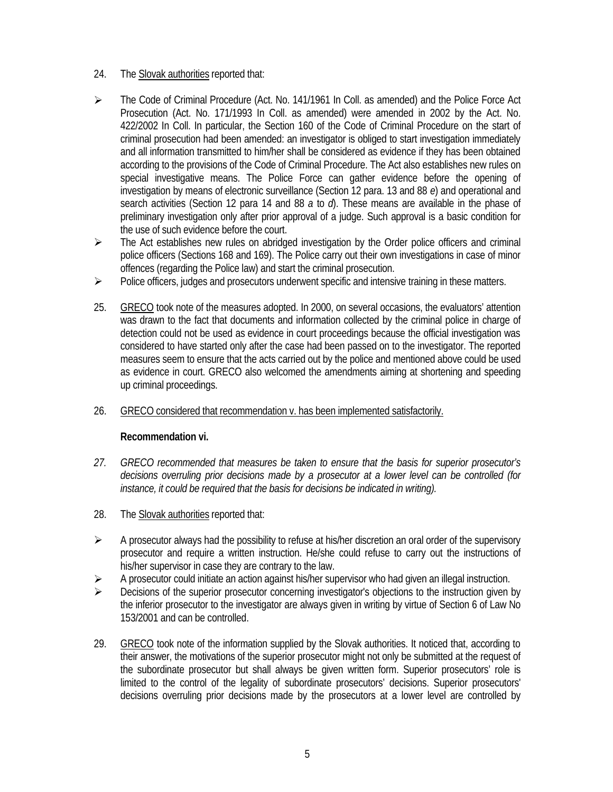- 24. The Slovak authorities reported that:
- ÿ The Code of Criminal Procedure (Act. No. 141/1961 In Coll. as amended) and the Police Force Act Prosecution (Act. No. 171/1993 In Coll. as amended) were amended in 2002 by the Act. No. 422/2002 In Coll. In particular, the Section 160 of the Code of Criminal Procedure on the start of criminal prosecution had been amended: an investigator is obliged to start investigation immediately and all information transmitted to him/her shall be considered as evidence if they has been obtained according to the provisions of the Code of Criminal Procedure. The Act also establishes new rules on special investigative means. The Police Force can gather evidence before the opening of investigation by means of electronic surveillance (Section 12 para. 13 and 88 *e*) and operational and search activities (Section 12 para 14 and 88 *a* to *d*). These means are available in the phase of preliminary investigation only after prior approval of a judge. Such approval is a basic condition for the use of such evidence before the court.
- $\triangleright$  The Act establishes new rules on abridged investigation by the Order police officers and criminal police officers (Sections 168 and 169). The Police carry out their own investigations in case of minor offences (regarding the Police law) and start the criminal prosecution.
- $\triangleright$  Police officers, judges and prosecutors underwent specific and intensive training in these matters.
- 25. GRECO took note of the measures adopted. In 2000, on several occasions, the evaluators' attention was drawn to the fact that documents and information collected by the criminal police in charge of detection could not be used as evidence in court proceedings because the official investigation was considered to have started only after the case had been passed on to the investigator. The reported measures seem to ensure that the acts carried out by the police and mentioned above could be used as evidence in court. GRECO also welcomed the amendments aiming at shortening and speeding up criminal proceedings.
- 26. GRECO considered that recommendation v. has been implemented satisfactorily.

# **Recommendation vi.**

- *27. GRECO recommended that measures be taken to ensure that the basis for superior prosecutor's decisions overruling prior decisions made by a prosecutor at a lower level can be controlled (for instance, it could be required that the basis for decisions be indicated in writing).*
- 28. The Slovak authorities reported that:
- $\triangleright$  A prosecutor always had the possibility to refuse at his/her discretion an oral order of the supervisory prosecutor and require a written instruction. He/she could refuse to carry out the instructions of his/her supervisor in case they are contrary to the law.
- $\triangleright$  A prosecutor could initiate an action against his/her supervisor who had given an illegal instruction.
- $\triangleright$  Decisions of the superior prosecutor concerning investigator's objections to the instruction given by the inferior prosecutor to the investigator are always given in writing by virtue of Section 6 of Law No 153/2001 and can be controlled.
- 29. GRECO took note of the information supplied by the Slovak authorities. It noticed that, according to their answer, the motivations of the superior prosecutor might not only be submitted at the request of the subordinate prosecutor but shall always be given written form. Superior prosecutors' role is limited to the control of the legality of subordinate prosecutors' decisions. Superior prosecutors' decisions overruling prior decisions made by the prosecutors at a lower level are controlled by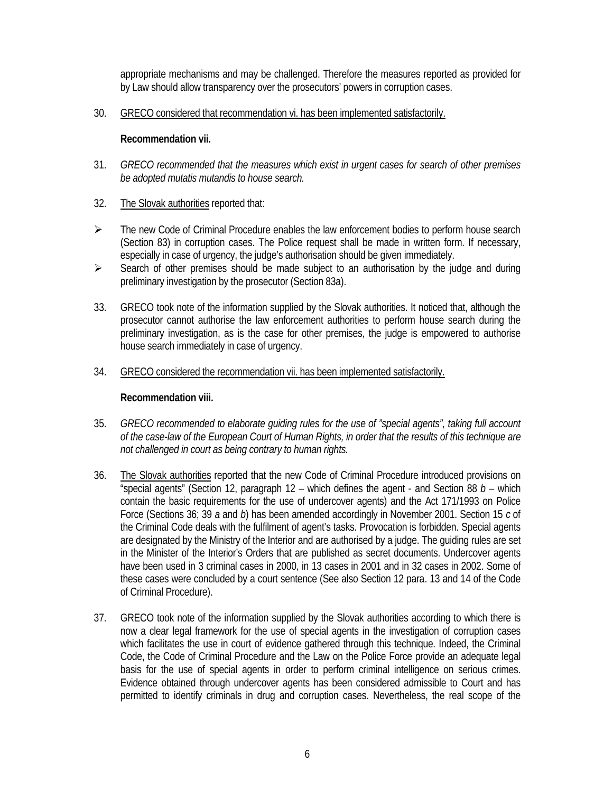appropriate mechanisms and may be challenged. Therefore the measures reported as provided for by Law should allow transparency over the prosecutors' powers in corruption cases.

30. GRECO considered that recommendation vi. has been implemented satisfactorily.

## **Recommendation vii.**

- 31. *GRECO recommended that the measures which exist in urgent cases for search of other premises be adopted mutatis mutandis to house search.*
- 32. The Slovak authorities reported that:
- $\triangleright$  The new Code of Criminal Procedure enables the law enforcement bodies to perform house search (Section 83) in corruption cases. The Police request shall be made in written form. If necessary, especially in case of urgency, the judge's authorisation should be given immediately.
- $\triangleright$  Search of other premises should be made subject to an authorisation by the judge and during preliminary investigation by the prosecutor (Section 83a).
- 33. GRECO took note of the information supplied by the Slovak authorities. It noticed that, although the prosecutor cannot authorise the law enforcement authorities to perform house search during the preliminary investigation, as is the case for other premises, the judge is empowered to authorise house search immediately in case of urgency.
- 34. GRECO considered the recommendation vii. has been implemented satisfactorily.

## **Recommendation viii.**

- 35. *GRECO recommended to elaborate guiding rules for the use of "special agents", taking full account of the case-law of the European Court of Human Rights, in order that the results of this technique are not challenged in court as being contrary to human rights.*
- 36. The Slovak authorities reported that the new Code of Criminal Procedure introduced provisions on "special agents" (Section 12, paragraph 12 – which defines the agent - and Section 88 *b* – which contain the basic requirements for the use of undercover agents) and the Act 171/1993 on Police Force (Sections 36; 39 *a* and *b*) has been amended accordingly in November 2001. Section 15 *c* of the Criminal Code deals with the fulfilment of agent's tasks. Provocation is forbidden. Special agents are designated by the Ministry of the Interior and are authorised by a judge. The guiding rules are set in the Minister of the Interior's Orders that are published as secret documents. Undercover agents have been used in 3 criminal cases in 2000, in 13 cases in 2001 and in 32 cases in 2002. Some of these cases were concluded by a court sentence (See also Section 12 para. 13 and 14 of the Code of Criminal Procedure).
- 37. GRECO took note of the information supplied by the Slovak authorities according to which there is now a clear legal framework for the use of special agents in the investigation of corruption cases which facilitates the use in court of evidence gathered through this technique. Indeed, the Criminal Code, the Code of Criminal Procedure and the Law on the Police Force provide an adequate legal basis for the use of special agents in order to perform criminal intelligence on serious crimes. Evidence obtained through undercover agents has been considered admissible to Court and has permitted to identify criminals in drug and corruption cases. Nevertheless, the real scope of the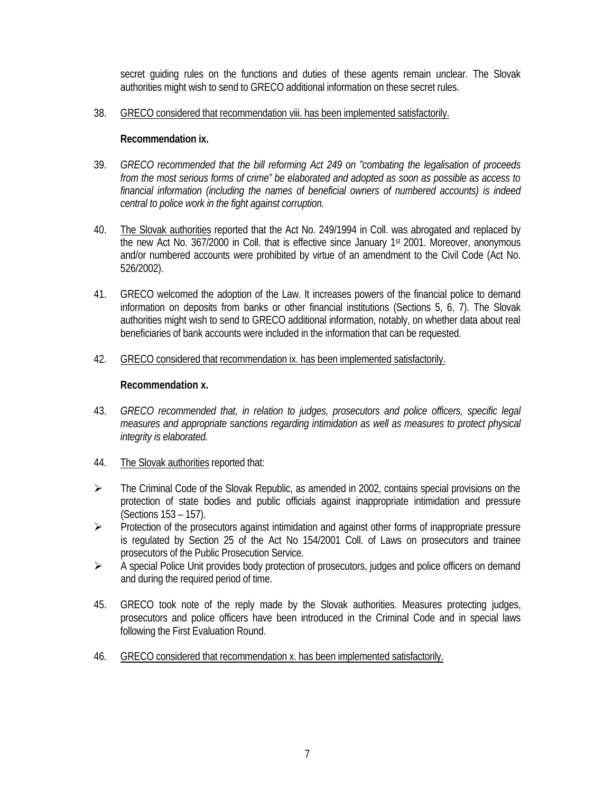secret guiding rules on the functions and duties of these agents remain unclear. The Slovak authorities might wish to send to GRECO additional information on these secret rules.

38. GRECO considered that recommendation viii. has been implemented satisfactorily.

## **Recommendation ix.**

- 39. *GRECO recommended that the bill reforming Act 249 on "combating the legalisation of proceeds from the most serious forms of crime" be elaborated and adopted as soon as possible as access to financial information (including the names of beneficial owners of numbered accounts) is indeed central to police work in the fight against corruption.*
- 40. The Slovak authorities reported that the Act No. 249/1994 in Coll. was abrogated and replaced by the new Act No. 367/2000 in Coll. that is effective since January 1 st 2001. Moreover, anonymous and/or numbered accounts were prohibited by virtue of an amendment to the Civil Code (Act No. 526/2002).
- 41. GRECO welcomed the adoption of the Law. It increases powers of the financial police to demand information on deposits from banks or other financial institutions (Sections 5, 6, 7). The Slovak authorities might wish to send to GRECO additional information, notably, on whether data about real beneficiaries of bank accounts were included in the information that can be requested.
- 42. GRECO considered that recommendation ix. has been implemented satisfactorily.

#### **Recommendation x.**

- 43. *GRECO recommended that, in relation to judges, prosecutors and police officers, specific legal measures and appropriate sanctions regarding intimidation as well as measures to protect physical integrity is elaborated.*
- 44. The Slovak authorities reported that:
- $\triangleright$  The Criminal Code of the Slovak Republic, as amended in 2002, contains special provisions on the protection of state bodies and public officials against inappropriate intimidation and pressure (Sections 153 – 157).
- $\triangleright$  Protection of the prosecutors against intimidation and against other forms of inappropriate pressure is regulated by Section 25 of the Act No 154/2001 Coll. of Laws on prosecutors and trainee prosecutors of the Public Prosecution Service.
- $\triangleright$  A special Police Unit provides body protection of prosecutors, judges and police officers on demand and during the required period of time.
- 45. GRECO took note of the reply made by the Slovak authorities. Measures protecting judges, prosecutors and police officers have been introduced in the Criminal Code and in special laws following the First Evaluation Round.
- 46. GRECO considered that recommendation x. has been implemented satisfactorily.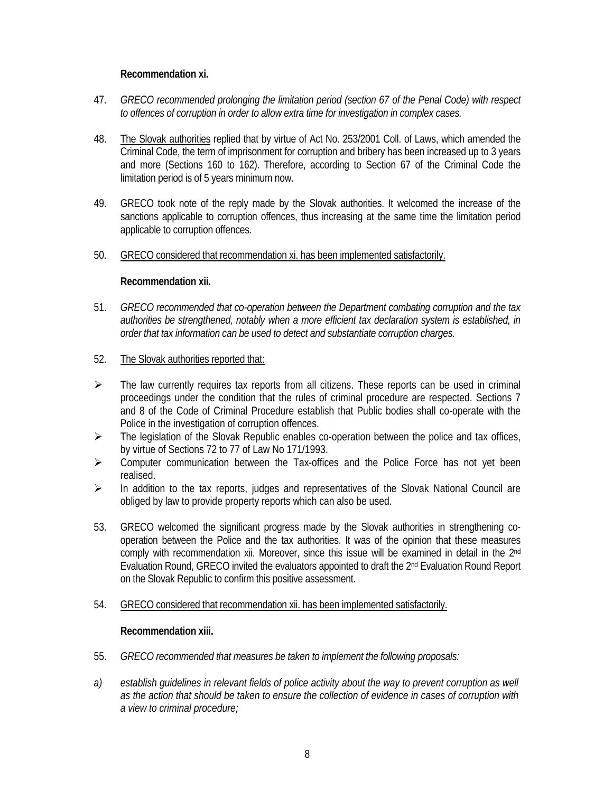# **Recommendation xi.**

- 47. *GRECO recommended prolonging the limitation period (section 67 of the Penal Code) with respect to offences of corruption in order to allow extra time for investigation in complex cases.*
- 48. The Slovak authorities replied that by virtue of Act No. 253/2001 Coll. of Laws, which amended the Criminal Code, the term of imprisonment for corruption and bribery has been increased up to 3 years and more (Sections 160 to 162). Therefore, according to Section 67 of the Criminal Code the limitation period is of 5 years minimum now.
- 49. GRECO took note of the reply made by the Slovak authorities. It welcomed the increase of the sanctions applicable to corruption offences, thus increasing at the same time the limitation period applicable to corruption offences.
- 50. GRECO considered that recommendation xi. has been implemented satisfactorily.

# **Recommendation xii.**

- 51. *GRECO recommended that co-operation between the Department combating corruption and the tax authorities be strengthened, notably when a more efficient tax declaration system is established, in order that tax information can be used to detect and substantiate corruption charges.*
- 52. The Slovak authorities reported that:
- $\triangleright$  The law currently requires tax reports from all citizens. These reports can be used in criminal proceedings under the condition that the rules of criminal procedure are respected. Sections 7 and 8 of the Code of Criminal Procedure establish that Public bodies shall co-operate with the Police in the investigation of corruption offences.
- $\triangleright$  The legislation of the Slovak Republic enables co-operation between the police and tax offices, by virtue of Sections 72 to 77 of Law No 171/1993.
- $\triangleright$  Computer communication between the Tax-offices and the Police Force has not yet been realised.
- $\triangleright$  In addition to the tax reports, judges and representatives of the Slovak National Council are obliged by law to provide property reports which can also be used.
- 53. GRECO welcomed the significant progress made by the Slovak authorities in strengthening cooperation between the Police and the tax authorities. It was of the opinion that these measures comply with recommendation xii. Moreover, since this issue will be examined in detail in the 2<sup>nd</sup> Evaluation Round, GRECO invited the evaluators appointed to draft the 2nd Evaluation Round Report on the Slovak Republic to confirm this positive assessment.
- 54. GRECO considered that recommendation xii. has been implemented satisfactorily.

# **Recommendation xiii.**

- 55. *GRECO recommended that measures be taken to implement the following proposals:*
- *a) establish guidelines in relevant fields of police activity about the way to prevent corruption as well as the action that should be taken to ensure the collection of evidence in cases of corruption with a view to criminal procedure;*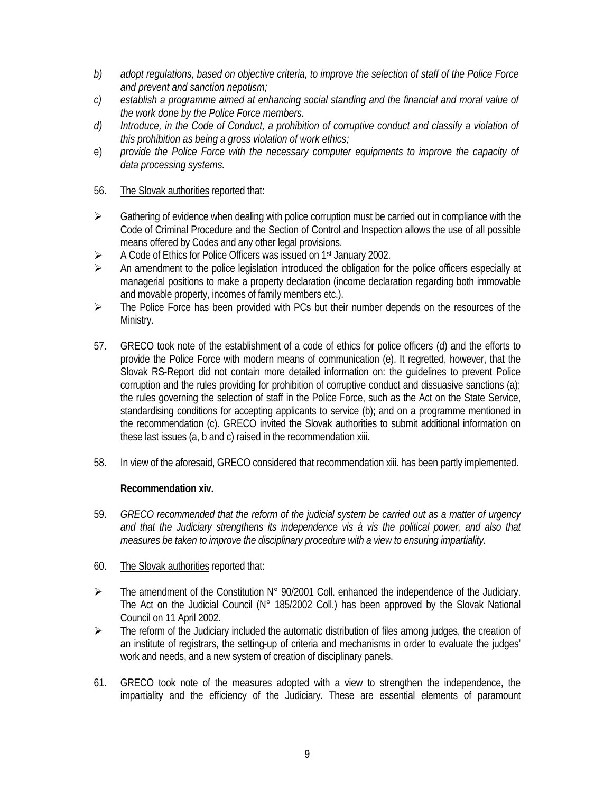- *b) adopt regulations, based on objective criteria, to improve the selection of staff of the Police Force and prevent and sanction nepotism;*
- *c) establish a programme aimed at enhancing social standing and the financial and moral value of the work done by the Police Force members.*
- *d) Introduce, in the Code of Conduct, a prohibition of corruptive conduct and classify a violation of this prohibition as being a gross violation of work ethics;*
- e) *provide the Police Force with the necessary computer equipments to improve the capacity of data processing systems.*
- 56. The Slovak authorities reported that:
- $\triangleright$  Gathering of evidence when dealing with police corruption must be carried out in compliance with the Code of Criminal Procedure and the Section of Control and Inspection allows the use of all possible means offered by Codes and any other legal provisions.
- ▶ A Code of Ethics for Police Officers was issued on 1<sup>st</sup> January 2002.
- $\triangleright$  An amendment to the police legislation introduced the obligation for the police officers especially at managerial positions to make a property declaration (income declaration regarding both immovable and movable property, incomes of family members etc.).
- $\triangleright$  The Police Force has been provided with PCs but their number depends on the resources of the Ministry.
- 57. GRECO took note of the establishment of a code of ethics for police officers (d) and the efforts to provide the Police Force with modern means of communication (e). It regretted, however, that the Slovak RS-Report did not contain more detailed information on: the guidelines to prevent Police corruption and the rules providing for prohibition of corruptive conduct and dissuasive sanctions (a); the rules governing the selection of staff in the Police Force, such as the Act on the State Service, standardising conditions for accepting applicants to service (b); and on a programme mentioned in the recommendation (c). GRECO invited the Slovak authorities to submit additional information on these last issues (a, b and c) raised in the recommendation xiii.
- 58. In view of the aforesaid, GRECO considered that recommendation xiii. has been partly implemented.

# **Recommendation xiv.**

- 59. *GRECO recommended that the reform of the judicial system be carried out as a matter of urgency and that the Judiciary strengthens its independence vis à vis the political power, and also that measures be taken to improve the disciplinary procedure with a view to ensuring impartiality.*
- 60. The Slovak authorities reported that:
- $\triangleright$  The amendment of the Constitution N° 90/2001 Coll. enhanced the independence of the Judiciary. The Act on the Judicial Council (N° 185/2002 Coll.) has been approved by the Slovak National Council on 11 April 2002.
- $\triangleright$  The reform of the Judiciary included the automatic distribution of files among judges, the creation of an institute of registrars, the setting-up of criteria and mechanisms in order to evaluate the judges' work and needs, and a new system of creation of disciplinary panels.
- 61. GRECO took note of the measures adopted with a view to strengthen the independence, the impartiality and the efficiency of the Judiciary. These are essential elements of paramount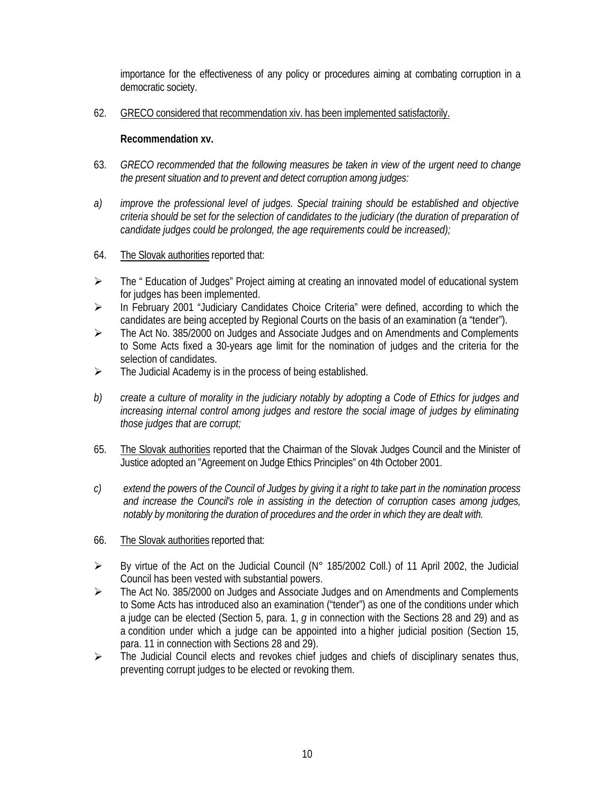importance for the effectiveness of any policy or procedures aiming at combating corruption in a democratic society.

62. GRECO considered that recommendation xiv. has been implemented satisfactorily.

# **Recommendation xv.**

- 63. *GRECO recommended that the following measures be taken in view of the urgent need to change the present situation and to prevent and detect corruption among judges:*
- *a) improve the professional level of judges. Special training should be established and objective criteria should be set for the selection of candidates to the judiciary (the duration of preparation of candidate judges could be prolonged, the age requirements could be increased);*
- 64. The Slovak authorities reported that:
- $\triangleright$  The " Education of Judges" Project aiming at creating an innovated model of educational system for judges has been implemented.
- ÿ In February 2001 "Judiciary Candidates Choice Criteria" were defined, according to which the candidates are being accepted by Regional Courts on the basis of an examination (a "tender").
- ÿ The Act No. 385/2000 on Judges and Associate Judges and on Amendments and Complements to Some Acts fixed a 30-years age limit for the nomination of judges and the criteria for the selection of candidates.
- $\triangleright$  The Judicial Academy is in the process of being established.
- *b) create a culture of morality in the judiciary notably by adopting a Code of Ethics for judges and increasing internal control among judges and restore the social image of judges by eliminating those judges that are corrupt;*
- 65. The Slovak authorities reported that the Chairman of the Slovak Judges Council and the Minister of Justice adopted an "Agreement on Judge Ethics Principles" on 4th October 2001.
- *c) extend the powers of the Council of Judges by giving it a right to take part in the nomination process and increase the Council's role in assisting in the detection of corruption cases among judges, notably by monitoring the duration of procedures and the order in which they are dealt with.*
- 66. The Slovak authorities reported that:
- $\triangleright$  By virtue of the Act on the Judicial Council (N° 185/2002 Coll.) of 11 April 2002, the Judicial Council has been vested with substantial powers.
- ÿ The Act No. 385/2000 on Judges and Associate Judges and on Amendments and Complements to Some Acts has introduced also an examination ("tender") as one of the conditions under which a judge can be elected (Section 5, para. 1, *g* in connection with the Sections 28 and 29) and as a condition under which a judge can be appointed into a higher judicial position (Section 15, para. 11 in connection with Sections 28 and 29).
- $\triangleright$  The Judicial Council elects and revokes chief judges and chiefs of disciplinary senates thus, preventing corrupt judges to be elected or revoking them.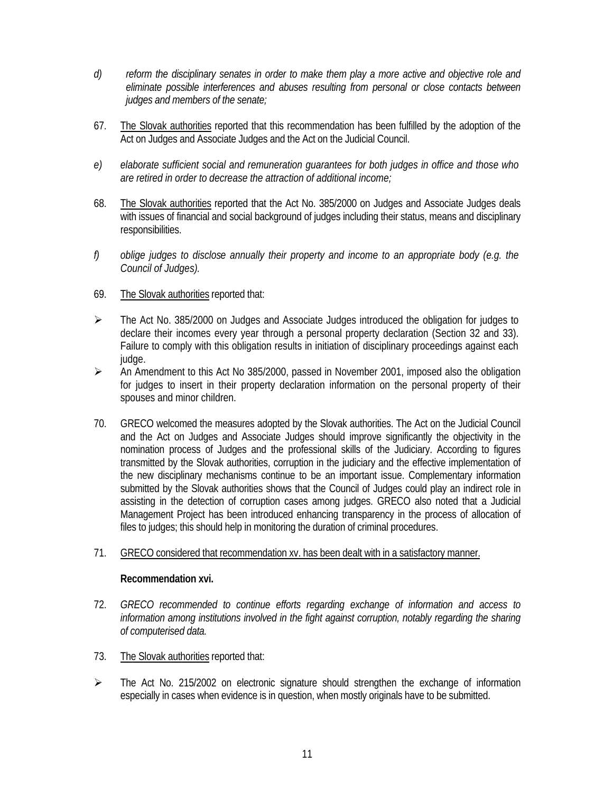- *d) reform the disciplinary senates in order to make them play a more active and objective role and eliminate possible interferences and abuses resulting from personal or close contacts between judges and members of the senate;*
- 67. The Slovak authorities reported that this recommendation has been fulfilled by the adoption of the Act on Judges and Associate Judges and the Act on the Judicial Council.
- *e) elaborate sufficient social and remuneration guarantees for both judges in office and those who are retired in order to decrease the attraction of additional income;*
- 68. The Slovak authorities reported that the Act No. 385/2000 on Judges and Associate Judges deals with issues of financial and social background of judges including their status, means and disciplinary responsibilities.
- *f) oblige judges to disclose annually their property and income to an appropriate body (e.g. the Council of Judges).*
- 69. The Slovak authorities reported that:
- $\triangleright$  The Act No. 385/2000 on Judges and Associate Judges introduced the obligation for judges to declare their incomes every year through a personal property declaration (Section 32 and 33). Failure to comply with this obligation results in initiation of disciplinary proceedings against each judge.
- $\triangleright$  An Amendment to this Act No 385/2000, passed in November 2001, imposed also the obligation for judges to insert in their property declaration information on the personal property of their spouses and minor children.
- 70. GRECO welcomed the measures adopted by the Slovak authorities. The Act on the Judicial Council and the Act on Judges and Associate Judges should improve significantly the objectivity in the nomination process of Judges and the professional skills of the Judiciary. According to figures transmitted by the Slovak authorities, corruption in the judiciary and the effective implementation of the new disciplinary mechanisms continue to be an important issue. Complementary information submitted by the Slovak authorities shows that the Council of Judges could play an indirect role in assisting in the detection of corruption cases among judges. GRECO also noted that a Judicial Management Project has been introduced enhancing transparency in the process of allocation of files to judges; this should help in monitoring the duration of criminal procedures.
- 71. GRECO considered that recommendation xv. has been dealt with in a satisfactory manner.

#### **Recommendation xvi.**

- 72. *GRECO recommended to continue efforts regarding exchange of information and access to information among institutions involved in the fight against corruption, notably regarding the sharing of computerised data.*
- 73. The Slovak authorities reported that:
- $\triangleright$  The Act No. 215/2002 on electronic signature should strengthen the exchange of information especially in cases when evidence is in question, when mostly originals have to be submitted.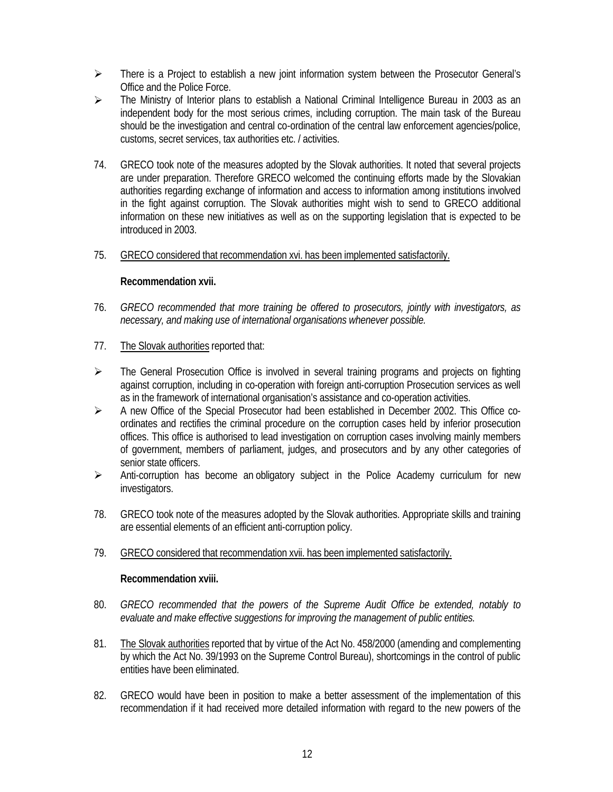- $\triangleright$  There is a Project to establish a new joint information system between the Prosecutor General's Office and the Police Force.
- $\triangleright$  The Ministry of Interior plans to establish a National Criminal Intelligence Bureau in 2003 as an independent body for the most serious crimes, including corruption. The main task of the Bureau should be the investigation and central co-ordination of the central law enforcement agencies/police, customs, secret services, tax authorities etc. / activities.
- 74. GRECO took note of the measures adopted by the Slovak authorities. It noted that several projects are under preparation. Therefore GRECO welcomed the continuing efforts made by the Slovakian authorities regarding exchange of information and access to information among institutions involved in the fight against corruption. The Slovak authorities might wish to send to GRECO additional information on these new initiatives as well as on the supporting legislation that is expected to be introduced in 2003.

# 75. GRECO considered that recommendation xvi. has been implemented satisfactorily.

#### **Recommendation xvii.**

- 76. *GRECO recommended that more training be offered to prosecutors, jointly with investigators, as necessary, and making use of international organisations whenever possible.*
- 77. The Slovak authorities reported that:
- $\triangleright$  The General Prosecution Office is involved in several training programs and projects on fighting against corruption, including in co-operation with foreign anti-corruption Prosecution services as well as in the framework of international organisation's assistance and co-operation activities.
- $\triangleright$  A new Office of the Special Prosecutor had been established in December 2002. This Office coordinates and rectifies the criminal procedure on the corruption cases held by inferior prosecution offices. This office is authorised to lead investigation on corruption cases involving mainly members of government, members of parliament, judges, and prosecutors and by any other categories of senior state officers.
- $\triangleright$  Anti-corruption has become an obligatory subject in the Police Academy curriculum for new investigators.
- 78. GRECO took note of the measures adopted by the Slovak authorities. Appropriate skills and training are essential elements of an efficient anti-corruption policy.
- 79. GRECO considered that recommendation xvii. has been implemented satisfactorily.

#### **Recommendation xviii.**

- 80. *GRECO recommended that the powers of the Supreme Audit Office be extended, notably to evaluate and make effective suggestions for improving the management of public entities.*
- 81. The Slovak authorities reported that by virtue of the Act No. 458/2000 (amending and complementing by which the Act No. 39/1993 on the Supreme Control Bureau), shortcomings in the control of public entities have been eliminated.
- 82. GRECO would have been in position to make a better assessment of the implementation of this recommendation if it had received more detailed information with regard to the new powers of the